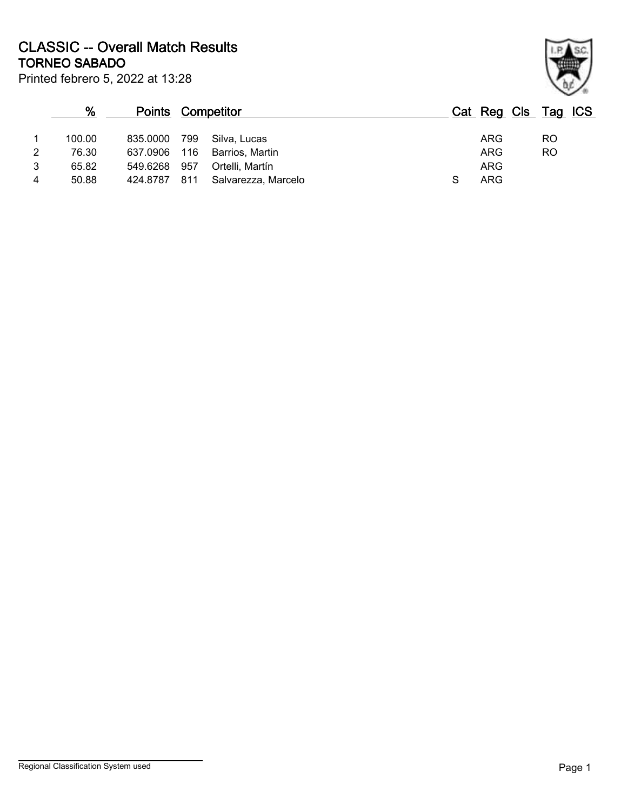Printed febrero 5, 2022 at 13:28 **TORNEO SABADO CLASSIC -- Overall Match Results**

|                | %      | <b>Points Competitor</b> |     |                     |  | Cat Reg Cls Tag ICS |           |  |
|----------------|--------|--------------------------|-----|---------------------|--|---------------------|-----------|--|
| 1              | 100.00 | 835.0000 799             |     | Silva, Lucas        |  | ARG                 | <b>RO</b> |  |
| $\overline{2}$ | 76.30  | 637.0906 116             |     | Barrios, Martin     |  | <b>ARG</b>          | <b>RO</b> |  |
| 3              | 65.82  | 549.6268                 | 957 | Ortelli, Martín     |  | <b>ARG</b>          |           |  |
| 4              | 50.88  | 424.8787                 | 811 | Salvarezza, Marcelo |  | <b>ARG</b>          |           |  |

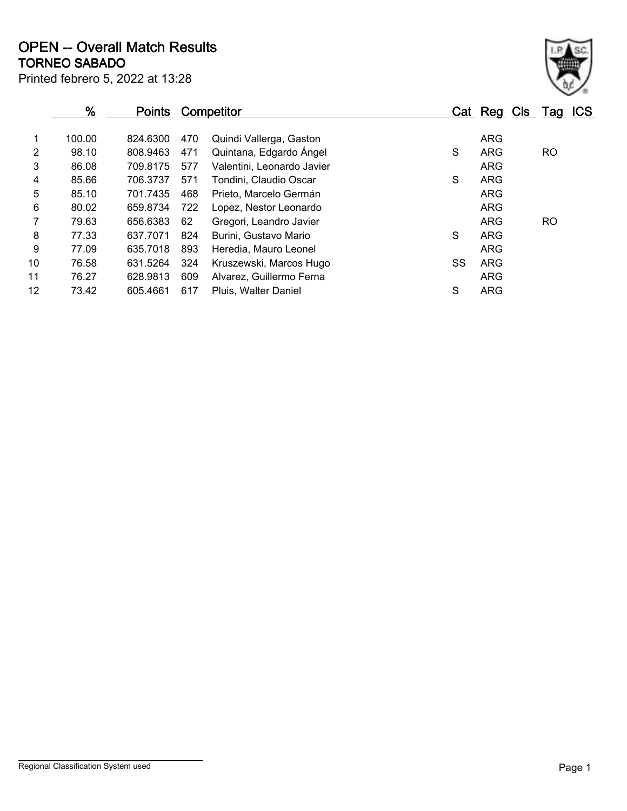Printed febrero 5, 2022 at 13:28 **TORNEO SABADO OPEN -- Overall Match Results**

|                | %      | <b>Points</b> |     | Competitor                 |    | Cat Reg Cls Tag ICS |     |
|----------------|--------|---------------|-----|----------------------------|----|---------------------|-----|
| 1              | 100.00 | 824.6300      | 470 | Quindi Vallerga, Gaston    |    | <b>ARG</b>          |     |
| $\overline{2}$ | 98.10  | 808.9463      | 471 | Quintana, Edgardo Ángel    | S  | ARG                 | RO. |
| 3              | 86.08  | 709.8175      | 577 | Valentini, Leonardo Javier |    | <b>ARG</b>          |     |
| 4              | 85.66  | 706.3737      | 571 | Tondini, Claudio Oscar     | S  | <b>ARG</b>          |     |
| 5              | 85.10  | 701.7435      | 468 | Prieto, Marcelo Germán     |    | <b>ARG</b>          |     |
| 6              | 80.02  | 659.8734      | 722 | Lopez, Nestor Leonardo     |    | <b>ARG</b>          |     |
| $\overline{7}$ | 79.63  | 656.6383      | 62  | Gregori, Leandro Javier    |    | <b>ARG</b>          | RO. |
| 8              | 77.33  | 637.7071      | 824 | Burini, Gustavo Mario      | S  | <b>ARG</b>          |     |
| 9              | 77.09  | 635.7018      | 893 | Heredia, Mauro Leonel      |    | <b>ARG</b>          |     |
| 10             | 76.58  | 631.5264      | 324 | Kruszewski, Marcos Hugo    | SS | <b>ARG</b>          |     |
| 11             | 76.27  | 628.9813      | 609 | Alvarez, Guillermo Ferna   |    | <b>ARG</b>          |     |
| 12             | 73.42  | 605.4661      | 617 | Pluis, Walter Daniel       | S  | <b>ARG</b>          |     |
|                |        |               |     |                            |    |                     |     |

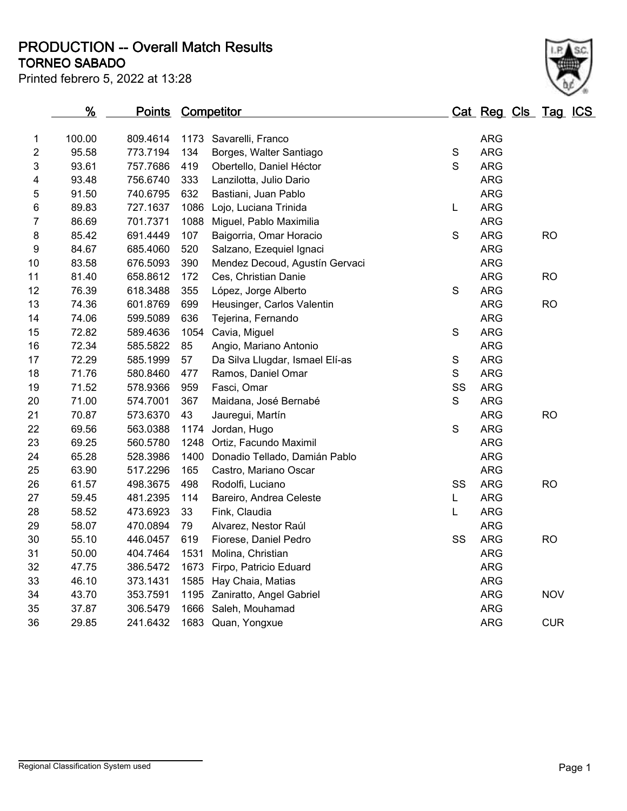**TORNEO SABADO PRODUCTION -- Overall Match Results**

Printed febrero 5, 2022 at 13:28

|                  | %      | <b>Points Competitor</b> |      |                                 |              | Cat Reg Cls Tag ICS |            |  |
|------------------|--------|--------------------------|------|---------------------------------|--------------|---------------------|------------|--|
| 1                | 100.00 | 809.4614                 | 1173 | Savarelli, Franco               |              | <b>ARG</b>          |            |  |
| $\overline{c}$   | 95.58  | 773.7194                 | 134  | Borges, Walter Santiago         | S            | <b>ARG</b>          |            |  |
| 3                | 93.61  | 757.7686                 | 419  | Obertello, Daniel Héctor        | $\mathsf S$  | <b>ARG</b>          |            |  |
| 4                | 93.48  | 756.6740                 | 333  | Lanzilotta, Julio Dario         |              | <b>ARG</b>          |            |  |
| 5                | 91.50  | 740.6795                 | 632  | Bastiani, Juan Pablo            |              | <b>ARG</b>          |            |  |
| 6                | 89.83  | 727.1637                 | 1086 | Lojo, Luciana Trinida           | L            | <b>ARG</b>          |            |  |
| 7                | 86.69  | 701.7371                 | 1088 | Miguel, Pablo Maximilia         |              | <b>ARG</b>          |            |  |
| 8                | 85.42  | 691.4449                 | 107  | Baigorria, Omar Horacio         | $\mathbf S$  | <b>ARG</b>          | <b>RO</b>  |  |
| $\boldsymbol{9}$ | 84.67  | 685.4060                 | 520  | Salzano, Ezequiel Ignaci        |              | <b>ARG</b>          |            |  |
| 10               | 83.58  | 676.5093                 | 390  | Mendez Decoud, Agustín Gervaci  |              | <b>ARG</b>          |            |  |
| 11               | 81.40  | 658.8612                 | 172  | Ces, Christian Danie            |              | <b>ARG</b>          | <b>RO</b>  |  |
| 12               | 76.39  | 618.3488                 | 355  | López, Jorge Alberto            | $\mathsf S$  | <b>ARG</b>          |            |  |
| 13               | 74.36  | 601.8769                 | 699  | Heusinger, Carlos Valentin      |              | <b>ARG</b>          | <b>RO</b>  |  |
| 14               | 74.06  | 599.5089                 | 636  | Tejerina, Fernando              |              | <b>ARG</b>          |            |  |
| 15               | 72.82  | 589.4636                 | 1054 | Cavia, Miguel                   | S            | <b>ARG</b>          |            |  |
| 16               | 72.34  | 585.5822                 | 85   | Angio, Mariano Antonio          |              | <b>ARG</b>          |            |  |
| 17               | 72.29  | 585.1999                 | 57   | Da Silva Llugdar, Ismael Elí-as | $\mathsf S$  | <b>ARG</b>          |            |  |
| 18               | 71.76  | 580.8460                 | 477  | Ramos, Daniel Omar              | $\mathsf{S}$ | <b>ARG</b>          |            |  |
| 19               | 71.52  | 578.9366                 | 959  | Fasci, Omar                     | SS           | <b>ARG</b>          |            |  |
| 20               | 71.00  | 574.7001                 | 367  | Maidana, José Bernabé           | S            | <b>ARG</b>          |            |  |
| 21               | 70.87  | 573.6370                 | 43   | Jauregui, Martín                |              | <b>ARG</b>          | <b>RO</b>  |  |
| 22               | 69.56  | 563.0388                 | 1174 | Jordan, Hugo                    | S            | <b>ARG</b>          |            |  |
| 23               | 69.25  | 560.5780                 | 1248 | Ortiz, Facundo Maximil          |              | <b>ARG</b>          |            |  |
| 24               | 65.28  | 528.3986                 | 1400 | Donadio Tellado, Damián Pablo   |              | <b>ARG</b>          |            |  |
| 25               | 63.90  | 517.2296                 | 165  | Castro, Mariano Oscar           |              | <b>ARG</b>          |            |  |
| 26               | 61.57  | 498.3675                 | 498  | Rodolfi, Luciano                | SS           | <b>ARG</b>          | <b>RO</b>  |  |
| 27               | 59.45  | 481.2395                 | 114  | Bareiro, Andrea Celeste         | L            | <b>ARG</b>          |            |  |
| 28               | 58.52  | 473.6923                 | 33   | Fink, Claudia                   | L            | <b>ARG</b>          |            |  |
| 29               | 58.07  | 470.0894                 | 79   | Alvarez, Nestor Raúl            |              | <b>ARG</b>          |            |  |
| 30               | 55.10  | 446.0457                 | 619  | Fiorese, Daniel Pedro           | SS           | <b>ARG</b>          | <b>RO</b>  |  |
| 31               | 50.00  | 404.7464                 | 1531 | Molina, Christian               |              | <b>ARG</b>          |            |  |
| 32               | 47.75  | 386.5472                 | 1673 | Firpo, Patricio Eduard          |              | <b>ARG</b>          |            |  |
| 33               | 46.10  | 373.1431                 | 1585 | Hay Chaia, Matias               |              | <b>ARG</b>          |            |  |
| 34               | 43.70  | 353.7591                 |      | 1195 Zaniratto, Angel Gabriel   |              | <b>ARG</b>          | <b>NOV</b> |  |
| 35               | 37.87  | 306.5479                 | 1666 | Saleh, Mouhamad                 |              | <b>ARG</b>          |            |  |
| 36               | 29.85  | 241.6432                 |      | 1683 Quan, Yongxue              |              | <b>ARG</b>          | <b>CUR</b> |  |
|                  |        |                          |      |                                 |              |                     |            |  |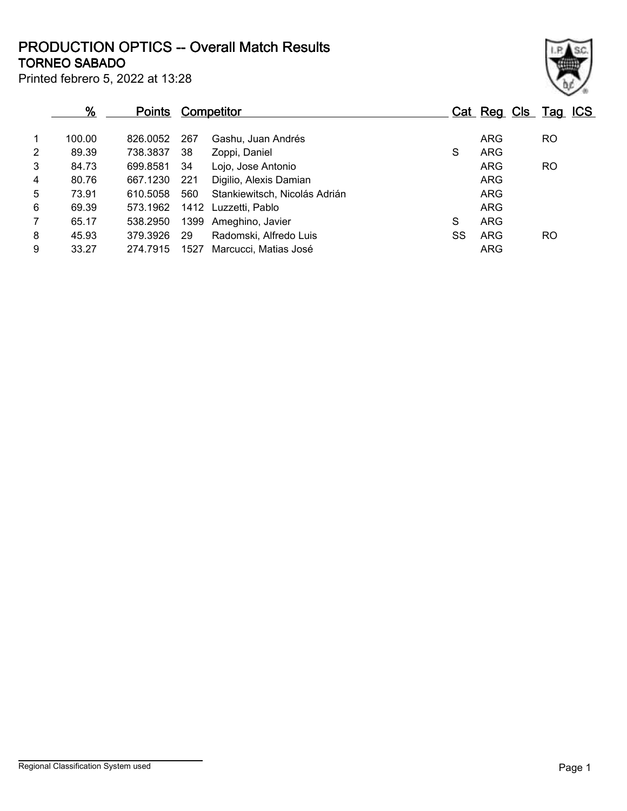## **TORNEO SABADO PRODUCTION OPTICS -- Overall Match Results**

| ł |  |  |
|---|--|--|

Printed febrero 5, 2022 at 13:28

| $\frac{9}{6}$<br><b>Points</b> |        | <b>Competitor</b> |      |                               |    | Cat Reg Cls Tag ICS |           |
|--------------------------------|--------|-------------------|------|-------------------------------|----|---------------------|-----------|
| 1                              | 100.00 | 826,0052          | 267  | Gashu, Juan Andrés            |    | <b>ARG</b>          | <b>RO</b> |
| 2                              | 89.39  | 738.3837          | 38   | Zoppi, Daniel                 | S  | <b>ARG</b>          |           |
| 3                              | 84.73  | 699.8581          | 34   | Lojo, Jose Antonio            |    | <b>ARG</b>          | <b>RO</b> |
| 4                              | 80.76  | 667.1230          | 221  | Digilio, Alexis Damian        |    | <b>ARG</b>          |           |
| 5                              | 73.91  | 610.5058          | 560  | Stankiewitsch, Nicolás Adrián |    | <b>ARG</b>          |           |
| 6                              | 69.39  | 573.1962          |      | 1412 Luzzetti, Pablo          |    | <b>ARG</b>          |           |
| $\overline{7}$                 | 65.17  | 538,2950          |      | 1399 Ameghino, Javier         | S  | <b>ARG</b>          |           |
| 8                              | 45.93  | 379.3926          | 29   | Radomski, Alfredo Luis        | SS | ARG                 | RO.       |
| 9                              | 33.27  | 274.7915          | 1527 | Marcucci, Matias José         |    | <b>ARG</b>          |           |
|                                |        |                   |      |                               |    |                     |           |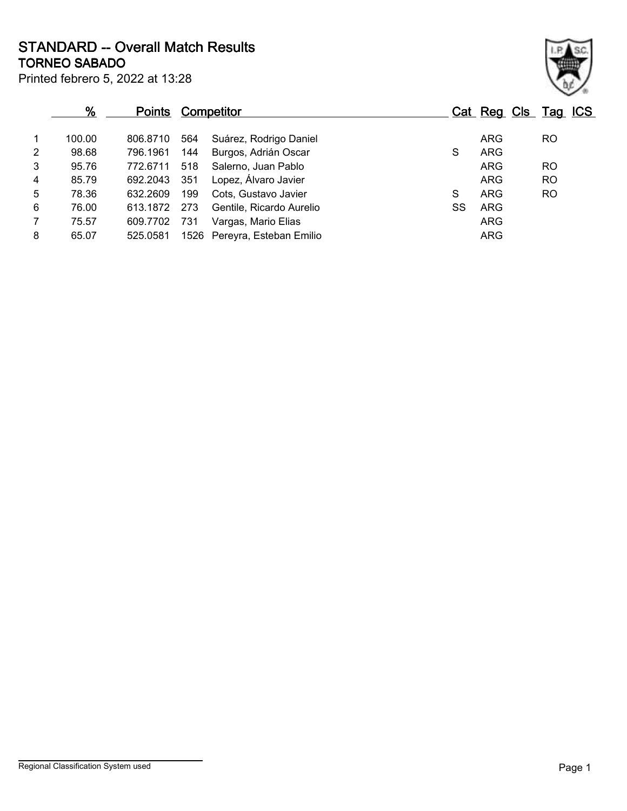Printed febrero 5, 2022 at 13:28 **TORNEO SABADO STANDARD -- Overall Match Results**

|                | %      | <b>Points</b> |     | Competitor                   |  |    | Cat Reg Cls Tag ICS |           |  |
|----------------|--------|---------------|-----|------------------------------|--|----|---------------------|-----------|--|
| $\overline{1}$ | 100.00 | 806.8710      | 564 | Suárez, Rodrigo Daniel       |  |    | <b>ARG</b>          | <b>RO</b> |  |
| $\overline{2}$ | 98.68  | 796.1961      | 144 | Burgos, Adrián Oscar         |  | S  | <b>ARG</b>          |           |  |
| 3              | 95.76  | 772.6711      | 518 | Salerno, Juan Pablo          |  |    | <b>ARG</b>          | <b>RO</b> |  |
| $\overline{4}$ | 85.79  | 692.2043      | 351 | Lopez, Álvaro Javier         |  |    | <b>ARG</b>          | <b>RO</b> |  |
| 5              | 78.36  | 632.2609      | 199 | Cots, Gustavo Javier         |  | S  | ARG                 | <b>RO</b> |  |
| 6              | 76.00  | 613.1872      | 273 | Gentile, Ricardo Aurelio     |  | SS | <b>ARG</b>          |           |  |
| $\overline{7}$ | 75.57  | 609.7702      | 731 | Vargas, Mario Elias          |  |    | <b>ARG</b>          |           |  |
| 8              | 65.07  | 525.0581      |     | 1526 Pereyra, Esteban Emilio |  |    | <b>ARG</b>          |           |  |